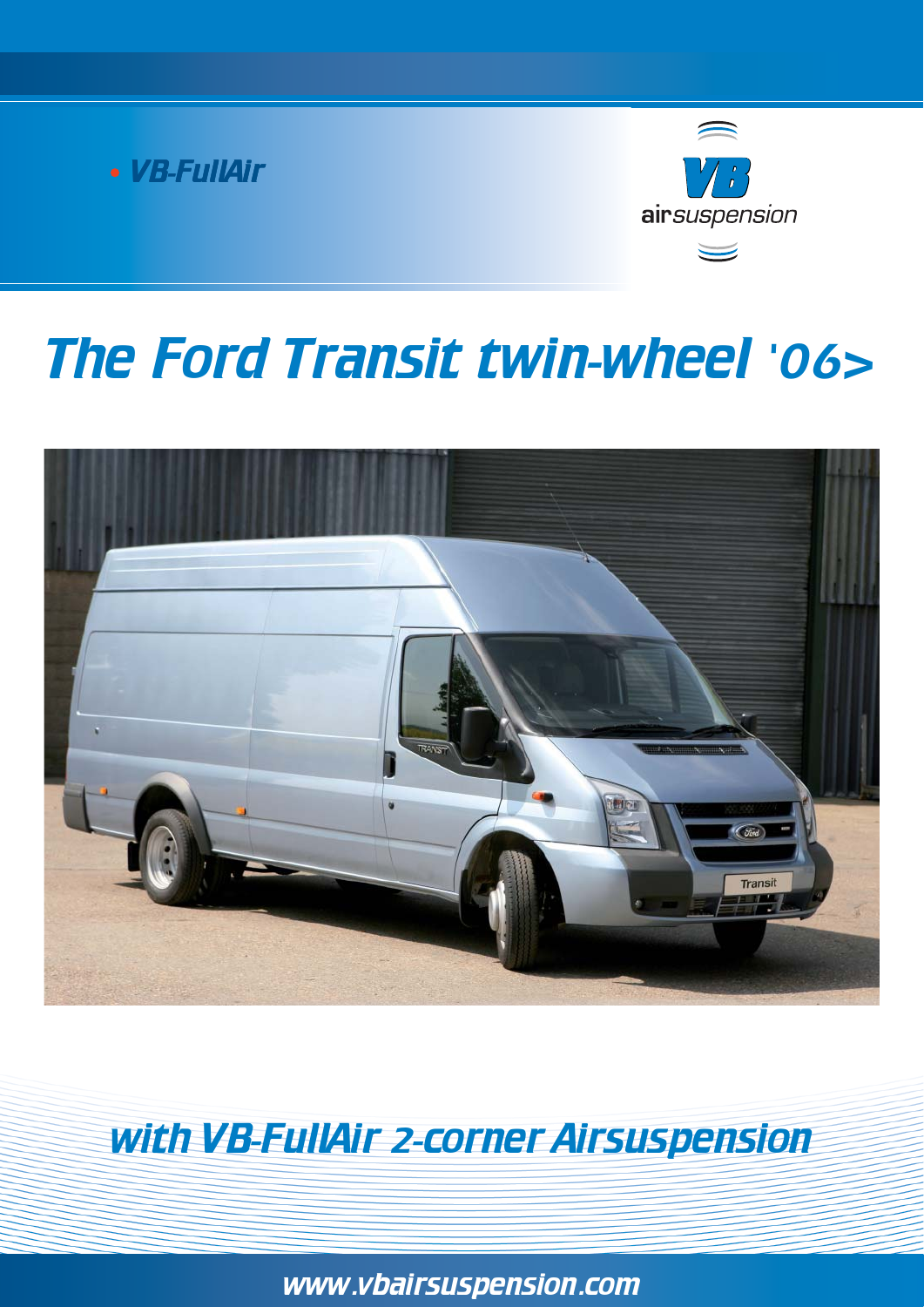



# The Ford Transit twin-wheel '06>



# with VB-FullAir 2-corner Airsuspension

www.vbairsuspension.com